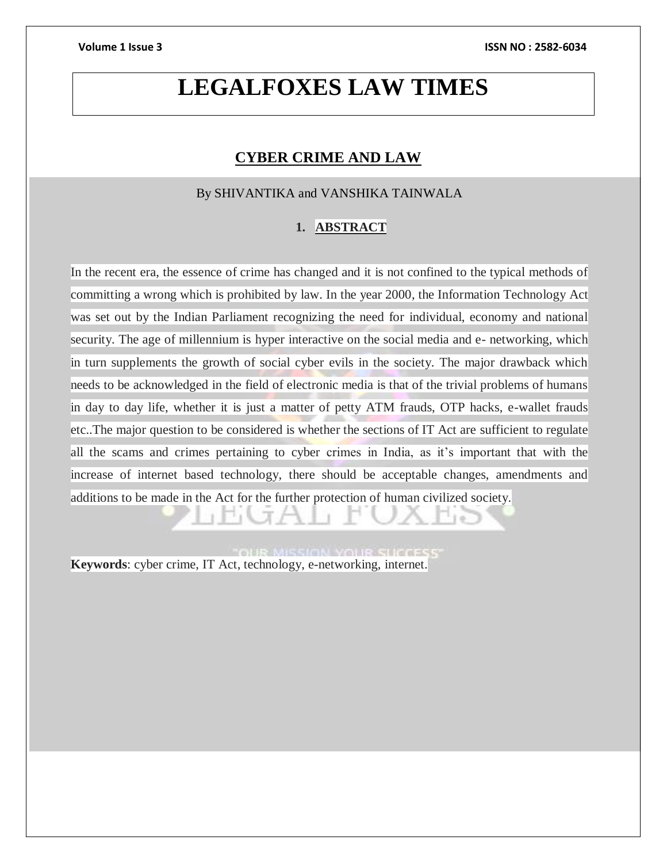# **LEGALFOXES LAW TIMES**

# **CYBER CRIME AND LAW**

### By SHIVANTIKA and VANSHIKA TAINWALA

### **1. ABSTRACT**

In the recent era, the essence of crime has changed and it is not confined to the typical methods of committing a wrong which is prohibited by law. In the year 2000, the Information Technology Act was set out by the Indian Parliament recognizing the need for individual, economy and national security. The age of millennium is hyper interactive on the social media and e- networking, which in turn supplements the growth of social cyber evils in the society. The major drawback which needs to be acknowledged in the field of electronic media is that of the trivial problems of humans in day to day life, whether it is just a matter of petty ATM frauds, OTP hacks, e-wallet frauds etc..The major question to be considered is whether the sections of IT Act are sufficient to regulate all the scams and crimes pertaining to cyber crimes in India, as it's important that with the increase of internet based technology, there should be acceptable changes, amendments and additions to be made in the Act for the further protection of human civilized society.

**Keywords**: cyber crime, IT Act, technology, e-networking, internet.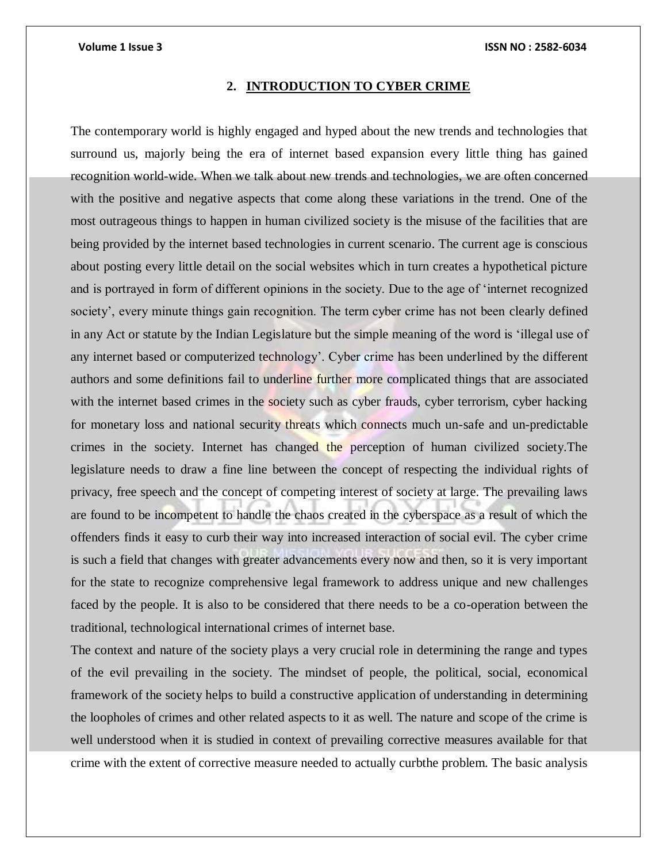#### **2. INTRODUCTION TO CYBER CRIME**

The contemporary world is highly engaged and hyped about the new trends and technologies that surround us, majorly being the era of internet based expansion every little thing has gained recognition world-wide. When we talk about new trends and technologies, we are often concerned with the positive and negative aspects that come along these variations in the trend. One of the most outrageous things to happen in human civilized society is the misuse of the facilities that are being provided by the internet based technologies in current scenario. The current age is conscious about posting every little detail on the social websites which in turn creates a hypothetical picture and is portrayed in form of different opinions in the society. Due to the age of 'internet recognized society', every minute things gain recognition. The term cyber crime has not been clearly defined in any Act or statute by the Indian Legislature but the simple meaning of the word is 'illegal use of any internet based or computerized technology'. Cyber crime has been underlined by the different authors and some definitions fail to underline further more complicated things that are associated with the internet based crimes in the society such as cyber frauds, cyber terrorism, cyber hacking for monetary loss and national security threats which connects much un-safe and un-predictable crimes in the society. Internet has changed the perception of human civilized society. The legislature needs to draw a fine line between the concept of respecting the individual rights of privacy, free speech and the concept of competing interest of society at large. The prevailing laws are found to be incompetent to handle the chaos created in the cyberspace as a result of which the offenders finds it easy to curb their way into increased interaction of social evil. The cyber crime is such a field that changes with greater advancements every now and then, so it is very important for the state to recognize comprehensive legal framework to address unique and new challenges faced by the people. It is also to be considered that there needs to be a co-operation between the traditional, technological international crimes of internet base.

The context and nature of the society plays a very crucial role in determining the range and types of the evil prevailing in the society. The mindset of people, the political, social, economical framework of the society helps to build a constructive application of understanding in determining the loopholes of crimes and other related aspects to it as well. The nature and scope of the crime is well understood when it is studied in context of prevailing corrective measures available for that crime with the extent of corrective measure needed to actually curbthe problem. The basic analysis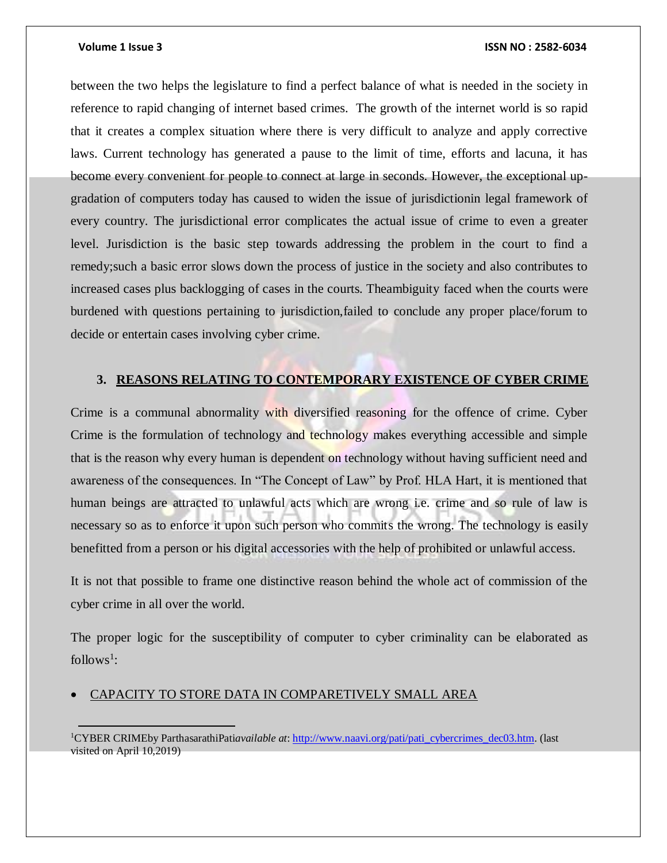$\overline{a}$ 

#### **Volume 1 Issue 3 ISSN NO : 2582-6034**

between the two helps the legislature to find a perfect balance of what is needed in the society in reference to rapid changing of internet based crimes. The growth of the internet world is so rapid that it creates a complex situation where there is very difficult to analyze and apply corrective laws. Current technology has generated a pause to the limit of time, efforts and lacuna, it has become every convenient for people to connect at large in seconds. However, the exceptional upgradation of computers today has caused to widen the issue of jurisdictionin legal framework of every country. The jurisdictional error complicates the actual issue of crime to even a greater level. Jurisdiction is the basic step towards addressing the problem in the court to find a remedy;such a basic error slows down the process of justice in the society and also contributes to increased cases plus backlogging of cases in the courts. Theambiguity faced when the courts were burdened with questions pertaining to jurisdiction,failed to conclude any proper place/forum to decide or entertain cases involving cyber crime.

## **3. REASONS RELATING TO CONTEMPORARY EXISTENCE OF CYBER CRIME**

Crime is a communal abnormality with diversified reasoning for the offence of crime. Cyber Crime is the formulation of technology and technology makes everything accessible and simple that is the reason why every human is dependent on technology without having sufficient need and awareness of the consequences. In "The Concept of Law" by Prof. HLA Hart, it is mentioned that human beings are attracted to unlawful acts which are wrong i.e. crime and so rule of law is necessary so as to enforce it upon such person who commits the wrong. The technology is easily benefitted from a person or his digital accessories with the help of prohibited or unlawful access.

It is not that possible to frame one distinctive reason behind the whole act of commission of the cyber crime in all over the world.

The proper logic for the susceptibility of computer to cyber criminality can be elaborated as  $follows<sup>1</sup>$ :

### CAPACITY TO STORE DATA IN COMPARETIVELY SMALL AREA

<sup>1</sup>CYBER CRIMEby ParthasarathiPati*available at*[: http://www.naavi.org/pati/pati\\_cybercrimes\\_dec03.htm.](http://www.naavi.org/pati/pati_cybercrimes_dec03.htm) (last visited on April 10,2019)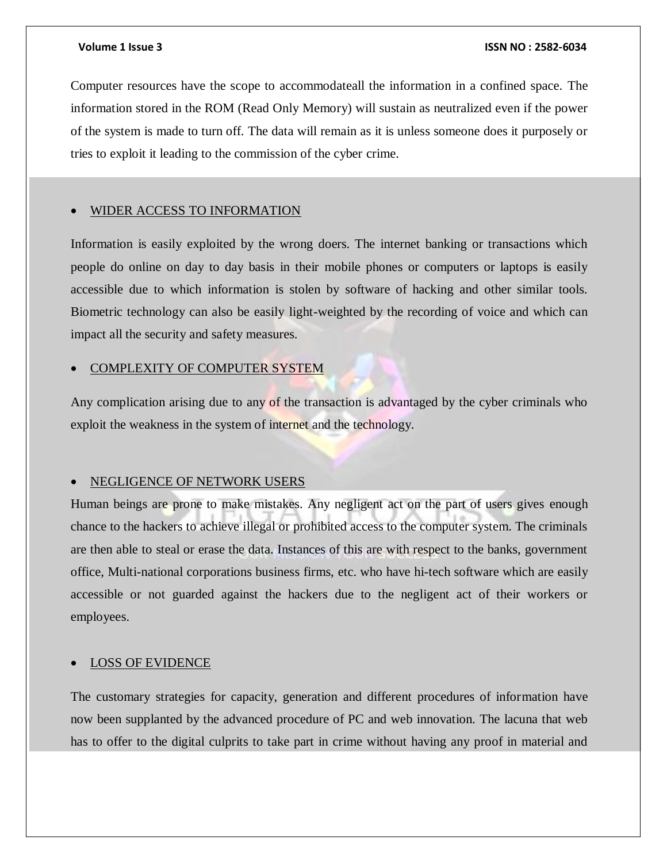Computer resources have the scope to accommodateall the information in a confined space. The information stored in the ROM (Read Only Memory) will sustain as neutralized even if the power of the system is made to turn off. The data will remain as it is unless someone does it purposely or tries to exploit it leading to the commission of the cyber crime.

#### WIDER ACCESS TO INFORMATION

Information is easily exploited by the wrong doers. The internet banking or transactions which people do online on day to day basis in their mobile phones or computers or laptops is easily accessible due to which information is stolen by software of hacking and other similar tools. Biometric technology can also be easily light-weighted by the recording of voice and which can impact all the security and safety measures.

#### COMPLEXITY OF COMPUTER SYSTEM

Any complication arising due to any of the transaction is advantaged by the cyber criminals who exploit the weakness in the system of internet and the technology.

#### NEGLIGENCE OF NETWORK USERS

Human beings are prone to make mistakes. Any negligent act on the part of users gives enough chance to the hackers to achieve illegal or prohibited access to the computer system. The criminals are then able to steal or erase the data. Instances of this are with respect to the banks, government office, Multi-national corporations business firms, etc. who have hi-tech software which are easily accessible or not guarded against the hackers due to the negligent act of their workers or employees.

#### LOSS OF EVIDENCE

The customary strategies for capacity, generation and different procedures of information have now been supplanted by the advanced procedure of PC and web innovation. The lacuna that web has to offer to the digital culprits to take part in crime without having any proof in material and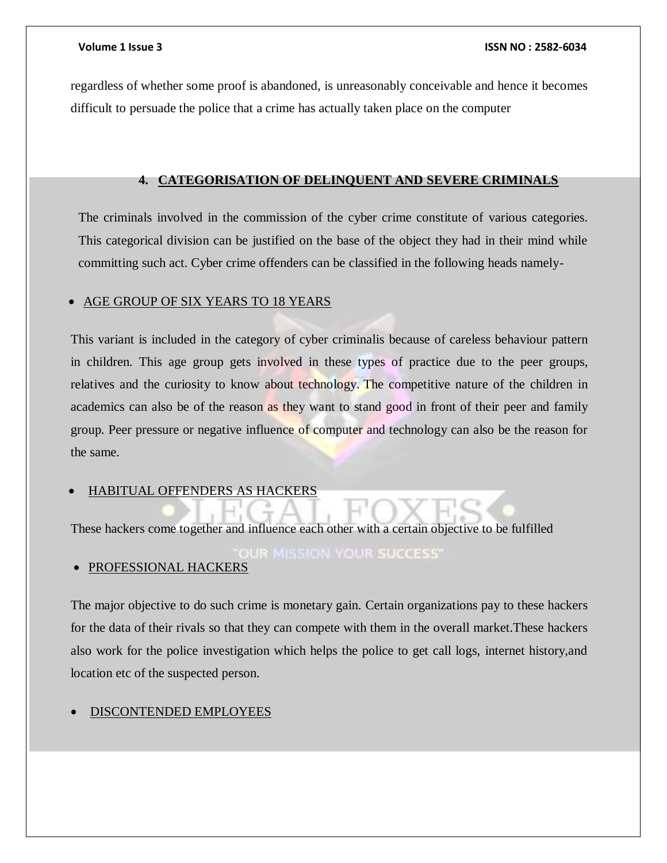regardless of whether some proof is abandoned, is unreasonably conceivable and hence it becomes difficult to persuade the police that a crime has actually taken place on the computer

### **4. CATEGORISATION OF DELINQUENT AND SEVERE CRIMINALS**

The criminals involved in the commission of the cyber crime constitute of various categories. This categorical division can be justified on the base of the object they had in their mind while committing such act. Cyber crime offenders can be classified in the following heads namely-

#### AGE GROUP OF SIX YEARS TO 18 YEARS

This variant is included in the category of cyber criminalis because of careless behaviour pattern in children. This age group gets involved in these types of practice due to the peer groups, relatives and the curiosity to know about technology. The competitive nature of the children in academics can also be of the reason as they want to stand good in front of their peer and family group. Peer pressure or negative influence of computer and technology can also be the reason for the same.

#### HABITUAL OFFENDERS AS HACKERS

These hackers come together and influence each other with a certain objective to be fulfilled

### **OUR MISSION YOUR SUCCESS'**

· PROFESSIONAL HACKERS

The major objective to do such crime is monetary gain. Certain organizations pay to these hackers for the data of their rivals so that they can compete with them in the overall market.These hackers also work for the police investigation which helps the police to get call logs, internet history,and location etc of the suspected person.

#### DISCONTENDED EMPLOYEES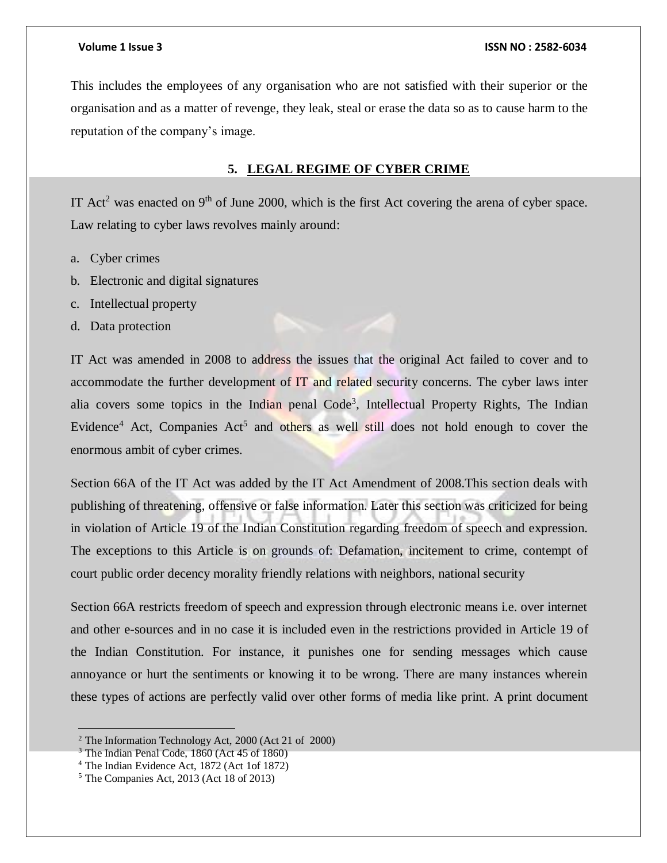#### **Volume 1 Issue 3 ISSN NO : 2582-6034**

This includes the employees of any organisation who are not satisfied with their superior or the organisation and as a matter of revenge, they leak, steal or erase the data so as to cause harm to the reputation of the company's image.

#### **5. LEGAL REGIME OF CYBER CRIME**

IT Act<sup>2</sup> was enacted on 9<sup>th</sup> of June 2000, which is the first Act covering the arena of cyber space. Law relating to cyber laws revolves mainly around:

- a. Cyber crimes
- b. Electronic and digital signatures
- c. Intellectual property
- d. Data protection

IT Act was amended in 2008 to address the issues that the original Act failed to cover and to accommodate the further development of IT and related security concerns. The cyber laws inter alia covers some topics in the Indian penal  $Code<sup>3</sup>$ , Intellectual Property Rights, The Indian Evidence<sup>4</sup> Act, Companies Act<sup>5</sup> and others as well still does not hold enough to cover the enormous ambit of cyber crimes.

Section 66A of the IT Act was added by the IT Act Amendment of 2008.This section deals with publishing of threatening, offensive or false information. Later this section was criticized for being in violation of Article 19 of the Indian Constitution regarding freedom of speech and expression. The exceptions to this Article is on grounds of: Defamation, incitement to crime, contempt of court public order decency morality friendly relations with neighbors, national security

Section 66A restricts freedom of speech and expression through electronic means i.e. over internet and other e-sources and in no case it is included even in the restrictions provided in Article 19 of the Indian Constitution. For instance, it punishes one for sending messages which cause annoyance or hurt the sentiments or knowing it to be wrong. There are many instances wherein these types of actions are perfectly valid over other forms of media like print. A print document

 $\overline{a}$ 

<sup>2</sup> The Information Technology Act, 2000 (Act 21 of 2000)

<sup>&</sup>lt;sup>3</sup> The Indian Penal Code, 1860 (Act 45 of 1860)

<sup>4</sup> The Indian Evidence Act, 1872 (Act 1of 1872)

<sup>5</sup> The Companies Act, 2013 (Act 18 of 2013)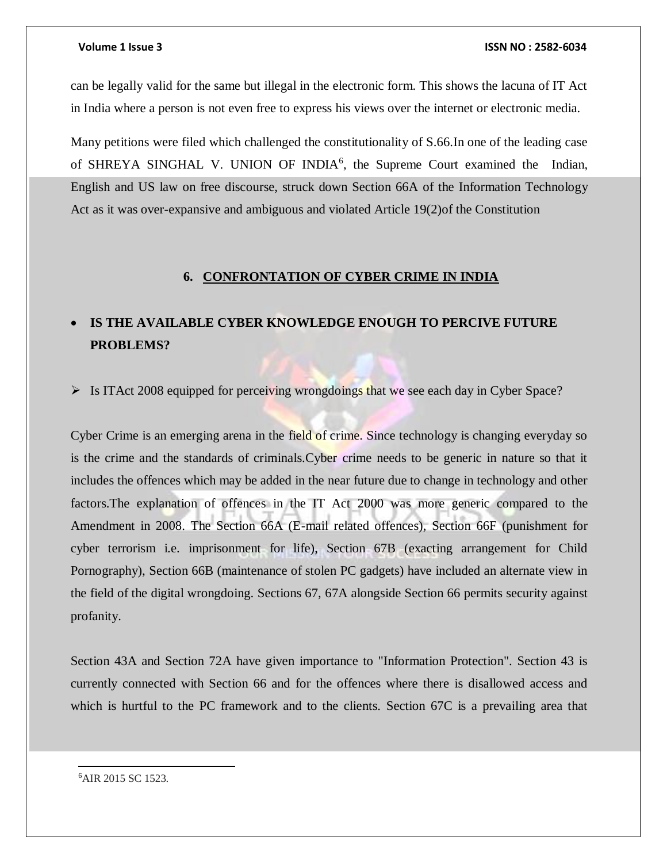can be legally valid for the same but illegal in the electronic form. This shows the lacuna of IT Act in India where a person is not even free to express his views over the internet or electronic media.

Many petitions were filed which challenged the constitutionality of S.66.In one of the leading case of SHREYA SINGHAL V. UNION OF INDIA<sup>6</sup>, the Supreme Court examined the Indian, English and US law on free discourse, struck down Section 66A of the Information Technology Act as it was over-expansive and ambiguous and violated Article 19(2)of the Constitution

#### **6. CONFRONTATION OF CYBER CRIME IN INDIA**

# **IS THE AVAILABLE CYBER KNOWLEDGE ENOUGH TO PERCIVE FUTURE PROBLEMS?**

 $\triangleright$  Is ITAct 2008 equipped for perceiving wrongdoings that we see each day in Cyber Space?

Cyber Crime is an emerging arena in the field of crime. Since technology is changing everyday so is the crime and the standards of criminals.Cyber crime needs to be generic in nature so that it includes the offences which may be added in the near future due to change in technology and other factors.The explanation of offences in the IT Act 2000 was more generic compared to the Amendment in 2008. The Section 66A (E-mail related offences), Section 66F (punishment for cyber terrorism i.e. imprisonment for life), Section 67B (exacting arrangement for Child Pornography), Section 66B (maintenance of stolen PC gadgets) have included an alternate view in the field of the digital wrongdoing. Sections 67, 67A alongside Section 66 permits security against profanity.

Section 43A and Section 72A have given importance to "Information Protection". Section 43 is currently connected with Section 66 and for the offences where there is disallowed access and which is hurtful to the PC framework and to the clients. Section 67C is a prevailing area that

6AIR 2015 SC 1523.

 $\overline{a}$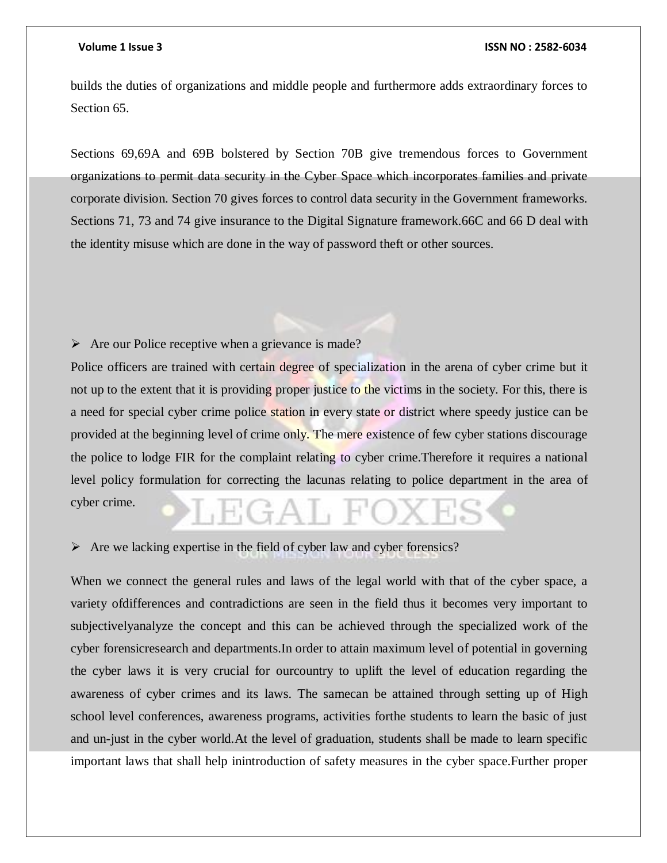#### **Volume 1 Issue 3 ISSN NO : 2582-6034**

builds the duties of organizations and middle people and furthermore adds extraordinary forces to Section 65.

Sections 69,69A and 69B bolstered by Section 70B give tremendous forces to Government organizations to permit data security in the Cyber Space which incorporates families and private corporate division. Section 70 gives forces to control data security in the Government frameworks. Sections 71, 73 and 74 give insurance to the Digital Signature framework.66C and 66 D deal with the identity misuse which are done in the way of password theft or other sources.

#### $\triangleright$  Are our Police receptive when a grievance is made?

Police officers are trained with certain degree of specialization in the arena of cyber crime but it not up to the extent that it is providing proper justice to the victims in the society. For this, there is a need for special cyber crime police station in every state or district where speedy justice can be provided at the beginning level of crime only. The mere existence of few cyber stations discourage the police to lodge FIR for the complaint relating to cyber crime.Therefore it requires a national level policy formulation for correcting the lacunas relating to police department in the area of cyber crime.

### $\triangleright$  Are we lacking expertise in the field of cyber law and cyber forensics?

When we connect the general rules and laws of the legal world with that of the cyber space, a variety ofdifferences and contradictions are seen in the field thus it becomes very important to subjectivelyanalyze the concept and this can be achieved through the specialized work of the cyber forensicresearch and departments.In order to attain maximum level of potential in governing the cyber laws it is very crucial for ourcountry to uplift the level of education regarding the awareness of cyber crimes and its laws. The samecan be attained through setting up of High school level conferences, awareness programs, activities forthe students to learn the basic of just and un-just in the cyber world.At the level of graduation, students shall be made to learn specific important laws that shall help inintroduction of safety measures in the cyber space.Further proper